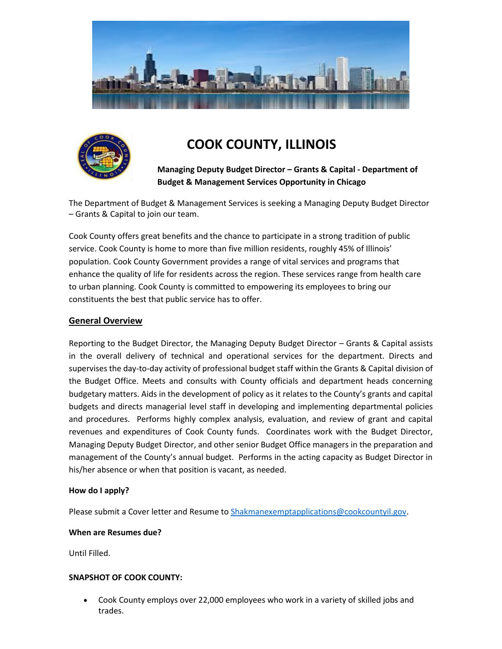



# **COOK COUNTY, ILLINOIS**

**Managing Deputy Budget Director – Grants & Capital - Department of Budget & Management Services Opportunity in Chicago**

The Department of Budget & Management Services is seeking a Managing Deputy Budget Director – Grants & Capital to join our team.

Cook County offers great benefits and the chance to participate in a strong tradition of public service. Cook County is home to more than five million residents, roughly 45% of Illinois' population. Cook County Government provides a range of vital services and programs that enhance the quality of life for residents across the region. These services range from health care to urban planning. Cook County is committed to empowering its employees to bring our constituents the best that public service has to offer.

## **General Overview**

Reporting to the Budget Director, the Managing Deputy Budget Director – Grants & Capital assists in the overall delivery of technical and operational services for the department. Directs and supervises the day-to-day activity of professional budget staff within the Grants & Capital division of the Budget Office. Meets and consults with County officials and department heads concerning budgetary matters. Aids in the development of policy as it relates to the County's grants and capital budgets and directs managerial level staff in developing and implementing departmental policies and procedures. Performs highly complex analysis, evaluation, and review of grant and capital revenues and expenditures of Cook County funds. Coordinates work with the Budget Director, Managing Deputy Budget Director, and other senior Budget Office managers in the preparation and management of the County's annual budget. Performs in the acting capacity as Budget Director in his/her absence or when that position is vacant, as needed.

#### **How do I apply?**

Please submit a Cover letter and Resume t[o Shakmanexemptapplications@cookcountyil.gov.](mailto:Shakmanexemptapplications@cookcountyil.gov)

#### **When are Resumes due?**

Until Filled.

#### **SNAPSHOT OF COOK COUNTY:**

• Cook County employs over 22,000 employees who work in a variety of skilled jobs and trades.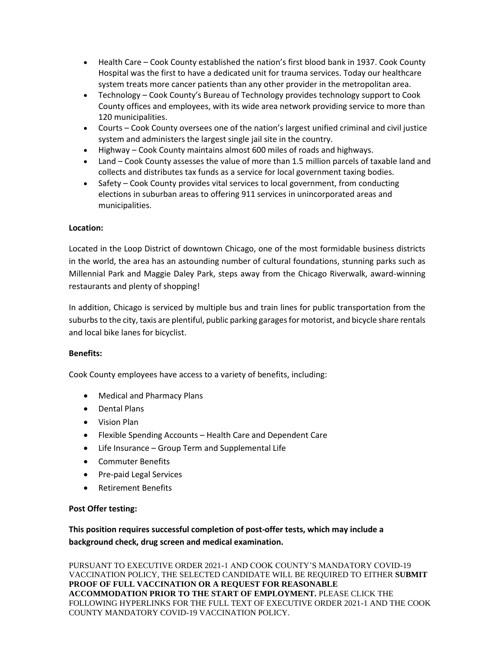- Health Care Cook County established the nation's first blood bank in 1937. Cook County Hospital was the first to have a dedicated unit for trauma services. Today our healthcare system treats more cancer patients than any other provider in the metropolitan area.
- Technology Cook County's Bureau of Technology provides technology support to Cook County offices and employees, with its wide area network providing service to more than 120 municipalities.
- Courts Cook County oversees one of the nation's largest unified criminal and civil justice system and administers the largest single jail site in the country.
- Highway Cook County maintains almost 600 miles of roads and highways.
- Land Cook County assesses the value of more than 1.5 million parcels of taxable land and collects and distributes tax funds as a service for local government taxing bodies.
- Safety Cook County provides vital services to local government, from conducting elections in suburban areas to offering 911 services in unincorporated areas and municipalities.

#### **Location:**

Located in the Loop District of downtown Chicago, one of the most formidable business districts in the world, the area has an astounding number of cultural foundations, stunning parks such as Millennial Park and Maggie Daley Park, steps away from the Chicago Riverwalk, award-winning restaurants and plenty of shopping!

In addition, Chicago is serviced by multiple bus and train lines for public transportation from the suburbs to the city, taxis are plentiful, public parking garages for motorist, and bicycle share rentals and local bike lanes for bicyclist.

#### **Benefits:**

Cook County employees have access to a variety of benefits, including:

- Medical and Pharmacy Plans
- Dental Plans
- Vision Plan
- Flexible Spending Accounts Health Care and Dependent Care
- Life Insurance Group Term and Supplemental Life
- Commuter Benefits
- Pre-paid Legal Services
- Retirement Benefits

#### **Post Offer testing:**

**This position requires successful completion of post-offer tests, which may include a background check, drug screen and medical examination.**

PURSUANT TO EXECUTIVE ORDER 2021-1 AND COOK COUNTY'S MANDATORY COVID-19 VACCINATION POLICY, THE SELECTED CANDIDATE WILL BE REQUIRED TO EITHER **SUBMIT PROOF OF FULL VACCINATION OR A REQUEST FOR REASONABLE ACCOMMODATION PRIOR TO THE START OF EMPLOYMENT.** PLEASE CLICK THE FOLLOWING HYPERLINKS FOR THE FULL TEXT OF EXECUTIVE ORDER 2021-1 AND THE COOK COUNTY MANDATORY COVID-19 VACCINATION POLICY.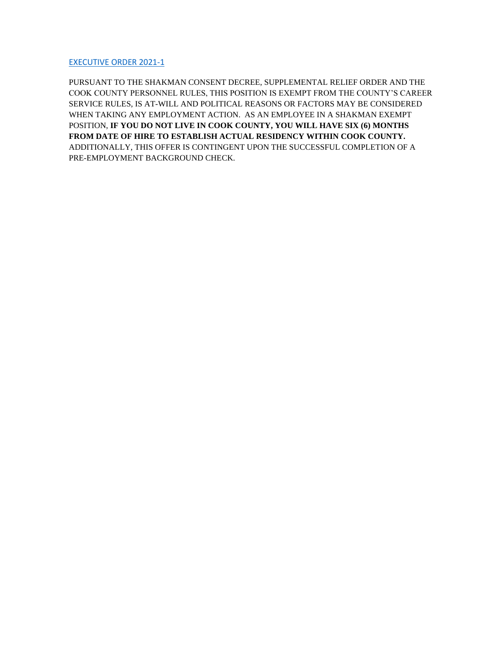[EXECUTIVE ORDER 2021-1](https://www.cookcountyil.gov/agency/office-president)

PURSUANT TO THE SHAKMAN CONSENT DECREE, SUPPLEMENTAL RELIEF ORDER AND THE COOK COUNTY PERSONNEL RULES, THIS POSITION IS EXEMPT FROM THE COUNTY'S CAREER SERVICE RULES, IS AT-WILL AND POLITICAL REASONS OR FACTORS MAY BE CONSIDERED WHEN TAKING ANY EMPLOYMENT ACTION. AS AN EMPLOYEE IN A SHAKMAN EXEMPT POSITION, **IF YOU DO NOT LIVE IN COOK COUNTY, YOU WILL HAVE SIX (6) MONTHS FROM DATE OF HIRE TO ESTABLISH ACTUAL RESIDENCY WITHIN COOK COUNTY.** ADDITIONALLY, THIS OFFER IS CONTINGENT UPON THE SUCCESSFUL COMPLETION OF A PRE-EMPLOYMENT BACKGROUND CHECK.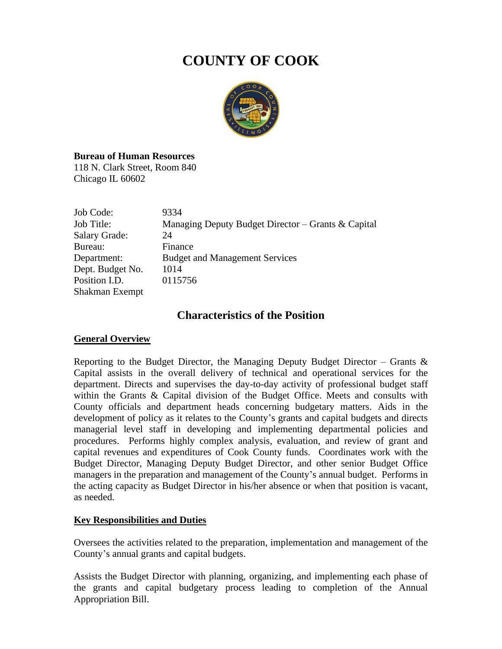# **COUNTY OF COOK**



### **Bureau of Human Resources**

118 N. Clark Street, Room 840 Chicago IL 60602

| Job Code:            | 9334                                               |
|----------------------|----------------------------------------------------|
| Job Title:           | Managing Deputy Budget Director – Grants & Capital |
| <b>Salary Grade:</b> | 24                                                 |
| Bureau:              | Finance                                            |
| Department:          | <b>Budget and Management Services</b>              |
| Dept. Budget No.     | 1014                                               |
| Position I.D.        | 0115756                                            |
| Shakman Exempt       |                                                    |

## **Characteristics of the Position**

### **General Overview**

Reporting to the Budget Director, the Managing Deputy Budget Director – Grants  $\&$ Capital assists in the overall delivery of technical and operational services for the department. Directs and supervises the day-to-day activity of professional budget staff within the Grants & Capital division of the Budget Office. Meets and consults with County officials and department heads concerning budgetary matters. Aids in the development of policy as it relates to the County's grants and capital budgets and directs managerial level staff in developing and implementing departmental policies and procedures. Performs highly complex analysis, evaluation, and review of grant and capital revenues and expenditures of Cook County funds. Coordinates work with the Budget Director, Managing Deputy Budget Director, and other senior Budget Office managers in the preparation and management of the County's annual budget. Performs in the acting capacity as Budget Director in his/her absence or when that position is vacant, as needed.

### **Key Responsibilities and Duties**

Oversees the activities related to the preparation, implementation and management of the County's annual grants and capital budgets.

Assists the Budget Director with planning, organizing, and implementing each phase of the grants and capital budgetary process leading to completion of the Annual Appropriation Bill.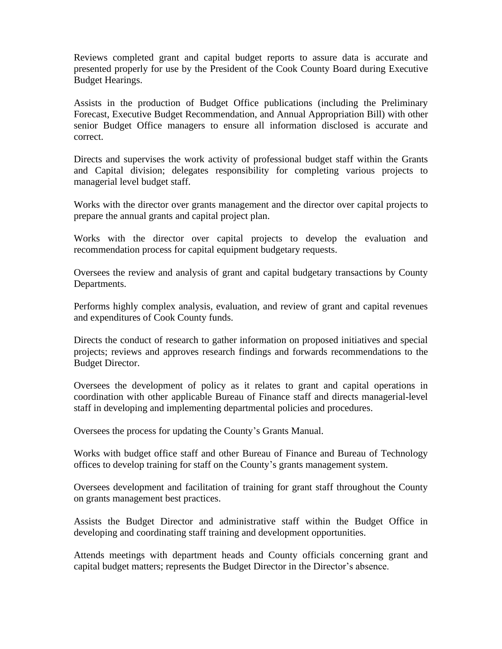Reviews completed grant and capital budget reports to assure data is accurate and presented properly for use by the President of the Cook County Board during Executive Budget Hearings.

Assists in the production of Budget Office publications (including the Preliminary Forecast, Executive Budget Recommendation, and Annual Appropriation Bill) with other senior Budget Office managers to ensure all information disclosed is accurate and correct.

Directs and supervises the work activity of professional budget staff within the Grants and Capital division; delegates responsibility for completing various projects to managerial level budget staff.

Works with the director over grants management and the director over capital projects to prepare the annual grants and capital project plan.

Works with the director over capital projects to develop the evaluation and recommendation process for capital equipment budgetary requests.

Oversees the review and analysis of grant and capital budgetary transactions by County Departments.

Performs highly complex analysis, evaluation, and review of grant and capital revenues and expenditures of Cook County funds.

Directs the conduct of research to gather information on proposed initiatives and special projects; reviews and approves research findings and forwards recommendations to the Budget Director.

Oversees the development of policy as it relates to grant and capital operations in coordination with other applicable Bureau of Finance staff and directs managerial-level staff in developing and implementing departmental policies and procedures.

Oversees the process for updating the County's Grants Manual.

Works with budget office staff and other Bureau of Finance and Bureau of Technology offices to develop training for staff on the County's grants management system.

Oversees development and facilitation of training for grant staff throughout the County on grants management best practices.

Assists the Budget Director and administrative staff within the Budget Office in developing and coordinating staff training and development opportunities.

Attends meetings with department heads and County officials concerning grant and capital budget matters; represents the Budget Director in the Director's absence.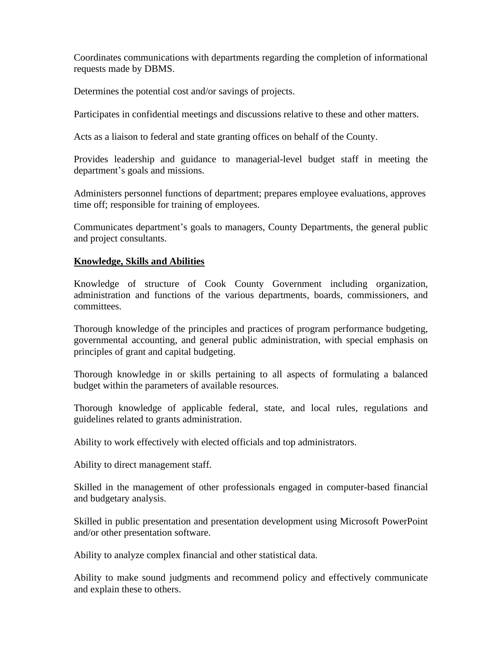Coordinates communications with departments regarding the completion of informational requests made by DBMS.

Determines the potential cost and/or savings of projects.

Participates in confidential meetings and discussions relative to these and other matters.

Acts as a liaison to federal and state granting offices on behalf of the County.

Provides leadership and guidance to managerial-level budget staff in meeting the department's goals and missions.

Administers personnel functions of department; prepares employee evaluations, approves time off; responsible for training of employees.

Communicates department's goals to managers, County Departments, the general public and project consultants.

## **Knowledge, Skills and Abilities**

Knowledge of structure of Cook County Government including organization, administration and functions of the various departments, boards, commissioners, and committees.

Thorough knowledge of the principles and practices of program performance budgeting, governmental accounting, and general public administration, with special emphasis on principles of grant and capital budgeting.

Thorough knowledge in or skills pertaining to all aspects of formulating a balanced budget within the parameters of available resources.

Thorough knowledge of applicable federal, state, and local rules, regulations and guidelines related to grants administration.

Ability to work effectively with elected officials and top administrators.

Ability to direct management staff.

Skilled in the management of other professionals engaged in computer-based financial and budgetary analysis.

Skilled in public presentation and presentation development using Microsoft PowerPoint and/or other presentation software.

Ability to analyze complex financial and other statistical data.

Ability to make sound judgments and recommend policy and effectively communicate and explain these to others.